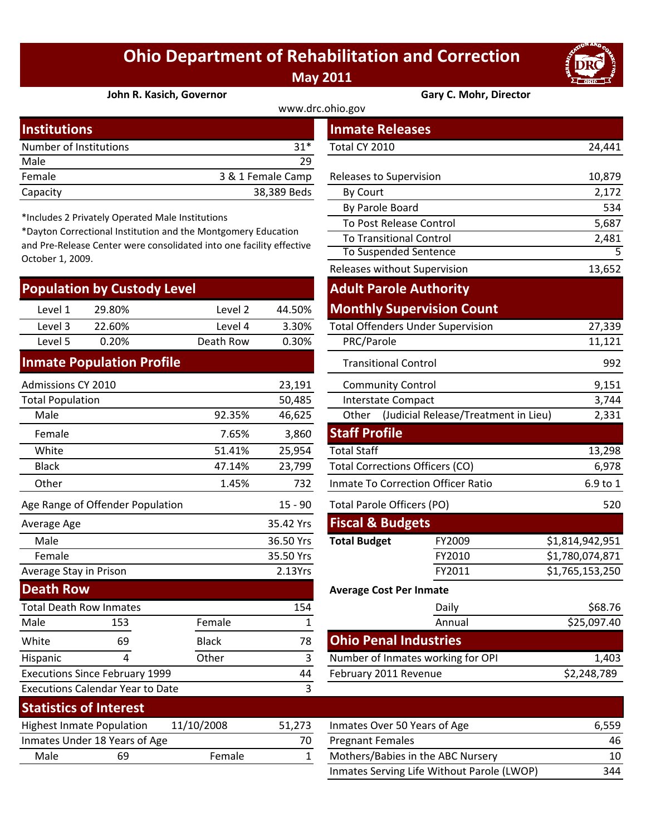## **Ohio Department of Rehabilitation and Correction May 2011**



**John R. Kasich, Governor Gary C. Mohr, Director**

| www.drc.ohio.gov       |                   |                         |        |  |  |  |
|------------------------|-------------------|-------------------------|--------|--|--|--|
| <b>Institutions</b>    |                   | <b>Inmate Releases</b>  |        |  |  |  |
| Number of Institutions | $31*$             | Total CY 2010           | 24,441 |  |  |  |
| Male                   | 29                |                         |        |  |  |  |
| Female                 | 3 & 1 Female Camp | Releases to Supervision | 10,879 |  |  |  |
| Capacity               | 38,389 Beds       | <b>By Court</b>         | 2,172  |  |  |  |

\*Includes 2 Privately Operated Male Institutions

\*Dayton Correctional Institution and the Montgomery Education and Pre‐Release Center were consolidated into one facility effective October 1, 2009.

| <b>Population by Custody Level!</b> |        |           |        | <b>Adult Parole Authority</b>            |        |  |
|-------------------------------------|--------|-----------|--------|------------------------------------------|--------|--|
| Level 1                             | 29.80% | Level 2   | 44.50% | <b>Monthly Supervision Count</b>         |        |  |
| Level 3                             | 22.60% | Level 4   | 3.30%  | <b>Total Offenders Under Supervision</b> | 27,339 |  |
| Level 5                             | 0.20%  | Death Row | 0.30%  | PRC/Parole                               | 11,121 |  |
|                                     |        |           |        |                                          |        |  |

## **Inmate Population Profile**

| <b>Admissions CY 2010</b>             |                                         |              | 23,191                         | <b>Community Control</b>     | 9,151                                  |                 |
|---------------------------------------|-----------------------------------------|--------------|--------------------------------|------------------------------|----------------------------------------|-----------------|
| <b>Total Population</b><br>50,485     |                                         |              | Interstate Compact             | 3,744                        |                                        |                 |
| Male                                  |                                         | 92.35%       | 46,625                         | Other                        | (Judicial Release/Treatment in Lieu)   | 2,331           |
| Female                                |                                         | 7.65%        | 3,860                          | <b>Staff Profile</b>         |                                        |                 |
| White                                 |                                         | 51.41%       | 25,954                         | <b>Total Staff</b>           |                                        | 13,298          |
| <b>Black</b>                          |                                         | 47.14%       | 23,799                         |                              | <b>Total Corrections Officers (CO)</b> | 6,978           |
| Other                                 |                                         | 1.45%        | 732                            |                              | Inmate To Correction Officer Ratio     | 6.9 to 1        |
| Age Range of Offender Population      |                                         |              | $15 - 90$                      | Total Parole Officers (PO)   |                                        | 520             |
| Average Age                           |                                         |              | 35.42 Yrs                      | <b>Fiscal &amp; Budgets</b>  |                                        |                 |
| Male                                  |                                         |              | 36.50 Yrs                      | <b>Total Budget</b>          | FY2009                                 | \$1,814,942,951 |
| Female                                |                                         |              | 35.50 Yrs                      |                              | FY2010                                 | \$1,780,074,871 |
| Average Stay in Prison                |                                         | 2.13Yrs      |                                | FY2011                       | \$1,765,153,250                        |                 |
| <b>Death Row</b>                      |                                         |              | <b>Average Cost Per Inmate</b> |                              |                                        |                 |
| <b>Total Death Row Inmates</b>        |                                         |              | 154                            |                              | Daily                                  | \$68.76         |
| Male                                  | 153                                     | Female       |                                |                              | Annual                                 | \$25,097.40     |
| White                                 | 69                                      | <b>Black</b> | 78                             | <b>Ohio Penal Industries</b> |                                        |                 |
| Hispanic                              | 4                                       | Other        | 3                              |                              | Number of Inmates working for OPI      | 1,403           |
| <b>Executions Since February 1999</b> |                                         |              | 44                             | February 2011 Revenue        |                                        | \$2,248,789     |
|                                       | <b>Executions Calendar Year to Date</b> |              | 3                              |                              |                                        |                 |

|                    |                           | <b>Inmate Releases</b>            |                                          |                 |  |
|--------------------|---------------------------|-----------------------------------|------------------------------------------|-----------------|--|
|                    | $31*$                     | Total CY 2010                     |                                          | 24,441          |  |
|                    | 29                        |                                   |                                          |                 |  |
|                    | 3 & 1 Female Camp         | Releases to Supervision           |                                          | 10,879          |  |
|                    | 38,389 Beds               | By Court                          |                                          | 2,172           |  |
| วทร                |                           | By Parole Board                   |                                          | 534             |  |
| ntgomery Education |                           |                                   | To Post Release Control                  | 5,687           |  |
|                    | to one facility effective | <b>To Transitional Control</b>    |                                          | 2,481           |  |
|                    |                           |                                   | To Suspended Sentence                    | 5               |  |
|                    |                           |                                   | Releases without Supervision             | 13,652          |  |
|                    |                           |                                   | <b>Adult Parole Authority</b>            |                 |  |
| Level 2            | 44.50%                    |                                   | <b>Monthly Supervision Count</b>         |                 |  |
| Level 4            | 3.30%                     |                                   | <b>Total Offenders Under Supervision</b> | 27,339          |  |
| th Row             | 0.30%                     | PRC/Parole                        |                                          |                 |  |
|                    |                           | <b>Transitional Control</b>       |                                          | 992             |  |
|                    | 23,191                    | <b>Community Control</b>          |                                          | 9,151           |  |
|                    | 50,485                    | Interstate Compact                |                                          | 3,744           |  |
| 92.35%             | 46,625                    | Other                             | (Judicial Release/Treatment in Lieu)     | 2,331           |  |
| 7.65%              | 3,860                     | <b>Staff Profile</b>              |                                          |                 |  |
| 51.41%             | 25,954                    | <b>Total Staff</b>                |                                          | 13,298          |  |
| 47.14%             | 23,799                    |                                   | <b>Total Corrections Officers (CO)</b>   | 6,978           |  |
| 1.45%              | 732                       |                                   | Inmate To Correction Officer Ratio       | 6.9 to 1        |  |
|                    | $15 - 90$                 | <b>Total Parole Officers (PO)</b> |                                          | 520             |  |
|                    | 35.42 Yrs                 | <b>Fiscal &amp; Budgets</b>       |                                          |                 |  |
|                    | 36.50 Yrs                 | <b>Total Budget</b>               | FY2009                                   | \$1,814,942,951 |  |
|                    | 35.50 Yrs                 |                                   | FY2010                                   | \$1,780,074,871 |  |
|                    | 2.13Yrs                   |                                   | FY2011                                   | \$1,765,153,250 |  |
|                    |                           | Average Cost Per Inmate           |                                          |                 |  |
|                    | 154                       |                                   | Daily                                    | \$68.76         |  |
| ale                | $\mathbf 1$               |                                   | Annual                                   | \$25,097.40     |  |
| :k                 | 78                        | <b>Ohio Penal Industries</b>      |                                          |                 |  |
| er                 | 3                         |                                   | Number of Inmates working for OPI        | 1,403           |  |
|                    | 44                        | February 2011 Revenue             |                                          | \$2,248,789     |  |
|                    | 3                         |                                   |                                          |                 |  |
|                    |                           |                                   |                                          |                 |  |

| <b>Statistics of Interest</b>    |                               |            |        |                              |
|----------------------------------|-------------------------------|------------|--------|------------------------------|
| <b>Highest Inmate Population</b> |                               | 11/10/2008 | 51.273 | Inmates Over 50 Years of Age |
|                                  | Inmates Under 18 Years of Age |            | 70     | <b>Pregnant Females</b>      |
| Male                             | 69                            | Female     |        | Mothers/Babies in the ABC No |
|                                  |                               |            |        |                              |

| Statistics Of Interest                         |                               |        |                              |                                            |     |
|------------------------------------------------|-------------------------------|--------|------------------------------|--------------------------------------------|-----|
| 11/10/2008<br><b>Highest Inmate Population</b> |                               | 51.273 | Inmates Over 50 Years of Age | 6.559                                      |     |
|                                                | Inmates Under 18 Years of Age |        | 70                           | <b>Pregnant Females</b>                    | 46  |
| Male<br>69                                     |                               | Female |                              | Mothers/Babies in the ABC Nursery          | 10  |
|                                                |                               |        |                              | Inmates Serving Life Without Parole (LWOP) | 344 |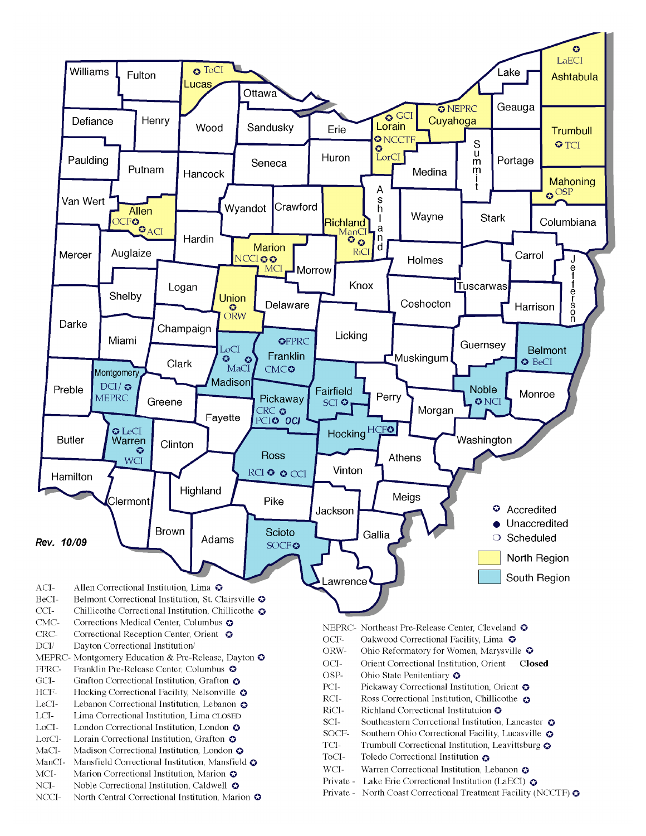